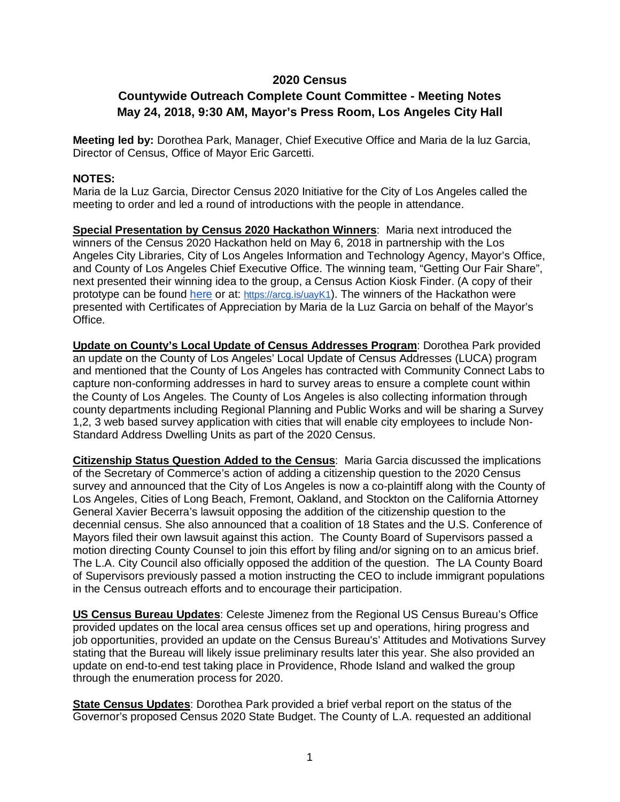## **2020 Census**

## **Countywide Outreach Complete Count Committee - Meeting Notes May 24, 2018, 9:30 AM, Mayor's Press Room, Los Angeles City Hall**

**Meeting led by:** Dorothea Park, Manager, Chief Executive Office and Maria de la luz Garcia, Director of Census, Office of Mayor Eric Garcetti.

## **NOTES:**

Maria de la Luz Garcia, Director Census 2020 Initiative for the City of Los Angeles called the meeting to order and led a round of introductions with the people in attendance.

**Special Presentation by Census 2020 Hackathon Winners**: Maria next introduced the winners of the Census 2020 Hackathon held on May 6, 2018 in partnership with the Los Angeles City Libraries, City of Los Angeles Information and Technology Agency, Mayor's Office, and County of Los Angeles Chief Executive Office. The winning team, "Getting Our Fair Share", next presented their winning idea to the group, a Census Action Kiosk Finder. (A copy of their prototype can be found [here](https://arcg.is/uayK1) or at: [https://arcg.is/uayK1\)](https://arcg.is/uayK1). The winners of the Hackathon were presented with Certificates of Appreciation by Maria de la Luz Garcia on behalf of the Mayor's Office.

**Update on County's Local Update of Census Addresses Program**: Dorothea Park provided an update on the County of Los Angeles' Local Update of Census Addresses (LUCA) program and mentioned that the County of Los Angeles has contracted with Community Connect Labs to capture non-conforming addresses in hard to survey areas to ensure a complete count within the County of Los Angeles. The County of Los Angeles is also collecting information through county departments including Regional Planning and Public Works and will be sharing a Survey 1,2, 3 web based survey application with cities that will enable city employees to include Non-Standard Address Dwelling Units as part of the 2020 Census.

**Citizenship Status Question Added to the Census**: Maria Garcia discussed the implications of the Secretary of Commerce's action of adding a citizenship question to the 2020 Census survey and announced that the City of Los Angeles is now a co-plaintiff along with the County of Los Angeles, Cities of Long Beach, Fremont, Oakland, and Stockton on the California Attorney General Xavier Becerra's lawsuit opposing the addition of the citizenship question to the decennial census. She also announced that a coalition of 18 States and the U.S. Conference of Mayors filed their own lawsuit against this action. The County Board of Supervisors passed a motion directing County Counsel to join this effort by filing and/or signing on to an amicus brief. The L.A. City Council also officially opposed the addition of the question. The LA County Board of Supervisors previously passed a motion instructing the CEO to include immigrant populations in the Census outreach efforts and to encourage their participation.

**US Census Bureau Updates**: Celeste Jimenez from the Regional US Census Bureau's Office provided updates on the local area census offices set up and operations, hiring progress and job opportunities, provided an update on the Census Bureau's' Attitudes and Motivations Survey stating that the Bureau will likely issue preliminary results later this year. She also provided an update on end-to-end test taking place in Providence, Rhode Island and walked the group through the enumeration process for 2020.

**State Census Updates**: Dorothea Park provided a brief verbal report on the status of the Governor's proposed Census 2020 State Budget. The County of L.A. requested an additional